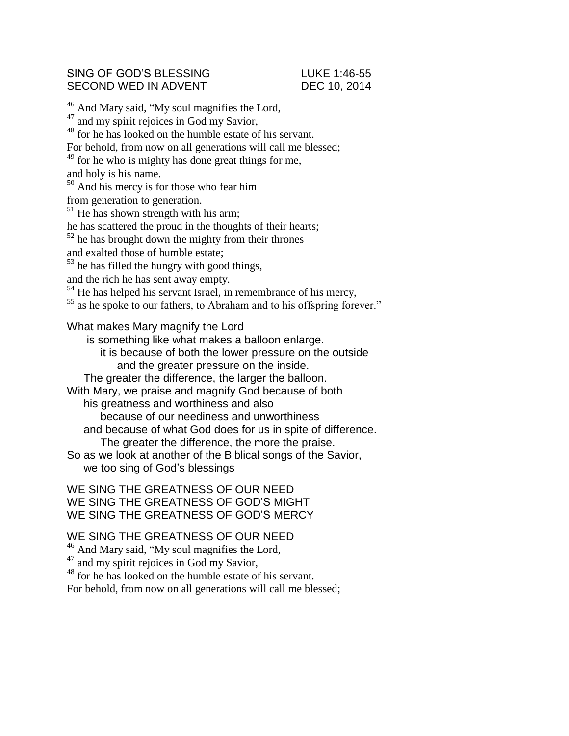## SING OF GOD'S BLESSING LUKE 1:46-55 SECOND WED IN ADVENT DEC 10, 2014

<sup>46</sup> And Mary said, "My soul magnifies the Lord, <sup>47</sup> and my spirit rejoices in God my Savior, <sup>48</sup> for he has looked on the humble estate of his servant. For behold, from now on all generations will call me blessed; <sup>49</sup> for he who is mighty has done great things for me, and holy is his name.  $50$  And his mercy is for those who fear him from generation to generation.  $51$  He has shown strength with his arm; he has scattered the proud in the thoughts of their hearts;  $52$  he has brought down the mighty from their thrones and exalted those of humble estate; <sup>53</sup> he has filled the hungry with good things, and the rich he has sent away empty. <sup>54</sup> He has helped his servant Israel, in remembrance of his mercy,  $\frac{55}{10}$  as he spoke to our fathers, to Abraham and to his offspring forever." What makes Mary magnify the Lord is something like what makes a balloon enlarge. it is because of both the lower pressure on the outside and the greater pressure on the inside. The greater the difference, the larger the balloon. With Mary, we praise and magnify God because of both his greatness and worthiness and also because of our neediness and unworthiness and because of what God does for us in spite of difference. The greater the difference, the more the praise. So as we look at another of the Biblical songs of the Savior, we too sing of God's blessings

WE SING THE GREATNESS OF OUR NEED WE SING THE GREATNESS OF GOD'S MIGHT WE SING THE GREATNESS OF GOD'S MERCY

## WE SING THE GREATNESS OF OUR NEED

<sup>46</sup> And Mary said, "My soul magnifies the Lord,

<sup>47</sup> and my spirit rejoices in God my Savior,

<sup>48</sup> for he has looked on the humble estate of his servant.

For behold, from now on all generations will call me blessed;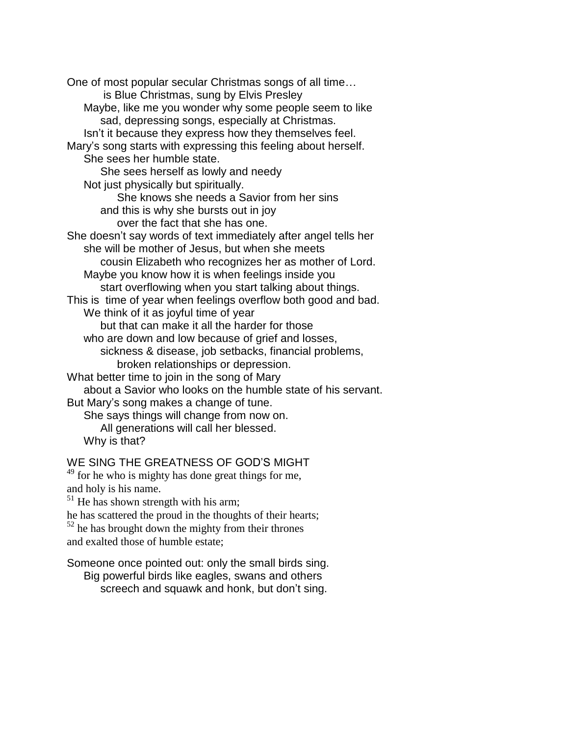One of most popular secular Christmas songs of all time… is Blue Christmas, sung by Elvis Presley Maybe, like me you wonder why some people seem to like sad, depressing songs, especially at Christmas. Isn't it because they express how they themselves feel. Mary's song starts with expressing this feeling about herself. She sees her humble state. She sees herself as lowly and needy Not just physically but spiritually. She knows she needs a Savior from her sins and this is why she bursts out in joy over the fact that she has one. She doesn't say words of text immediately after angel tells her she will be mother of Jesus, but when she meets cousin Elizabeth who recognizes her as mother of Lord. Maybe you know how it is when feelings inside you start overflowing when you start talking about things. This is time of year when feelings overflow both good and bad. We think of it as joyful time of year but that can make it all the harder for those who are down and low because of grief and losses, sickness & disease, job setbacks, financial problems, broken relationships or depression. What better time to join in the song of Mary about a Savior who looks on the humble state of his servant. But Mary's song makes a change of tune. She says things will change from now on. All generations will call her blessed. Why is that?

## WE SING THE GREATNESS OF GOD'S MIGHT

<sup>49</sup> for he who is mighty has done great things for me, and holy is his name.

 $51$  He has shown strength with his arm;

he has scattered the proud in the thoughts of their hearts;

 $52$  he has brought down the mighty from their thrones and exalted those of humble estate;

Someone once pointed out: only the small birds sing. Big powerful birds like eagles, swans and others screech and squawk and honk, but don't sing.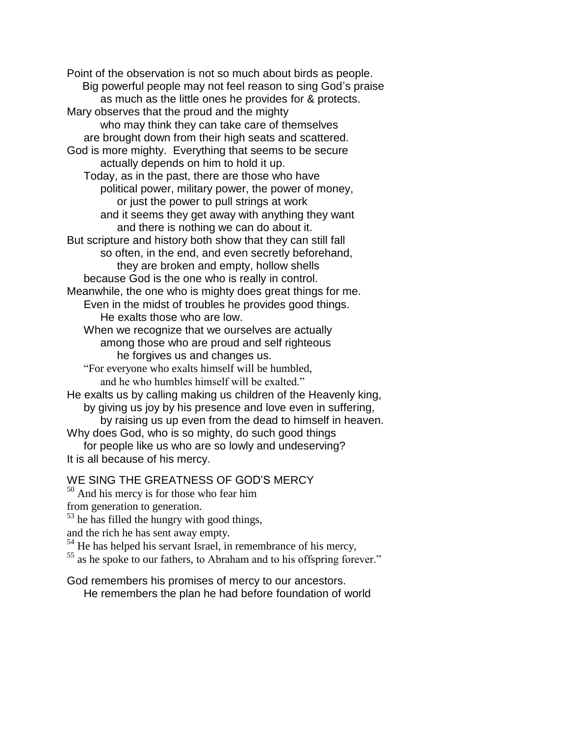Point of the observation is not so much about birds as people. Big powerful people may not feel reason to sing God's praise as much as the little ones he provides for & protects. Mary observes that the proud and the mighty who may think they can take care of themselves are brought down from their high seats and scattered. God is more mighty. Everything that seems to be secure actually depends on him to hold it up. Today, as in the past, there are those who have political power, military power, the power of money, or just the power to pull strings at work and it seems they get away with anything they want and there is nothing we can do about it. But scripture and history both show that they can still fall so often, in the end, and even secretly beforehand, they are broken and empty, hollow shells because God is the one who is really in control. Meanwhile, the one who is mighty does great things for me. Even in the midst of troubles he provides good things. He exalts those who are low. When we recognize that we ourselves are actually among those who are proud and self righteous he forgives us and changes us. "For everyone who exalts himself will be humbled, and he who humbles himself will be exalted." He exalts us by calling making us children of the Heavenly king, by giving us joy by his presence and love even in suffering, by raising us up even from the dead to himself in heaven. Why does God, who is so mighty, do such good things for people like us who are so lowly and undeserving? It is all because of his mercy.

WE SING THE GREATNESS OF GOD'S MERCY

<sup>50</sup> And his mercy is for those who fear him

from generation to generation.

 $53$  he has filled the hungry with good things,

and the rich he has sent away empty.

 $54$  He has helped his servant Israel, in remembrance of his mercy,

<sup>55</sup> as he spoke to our fathers, to Abraham and to his offspring forever."

God remembers his promises of mercy to our ancestors. He remembers the plan he had before foundation of world